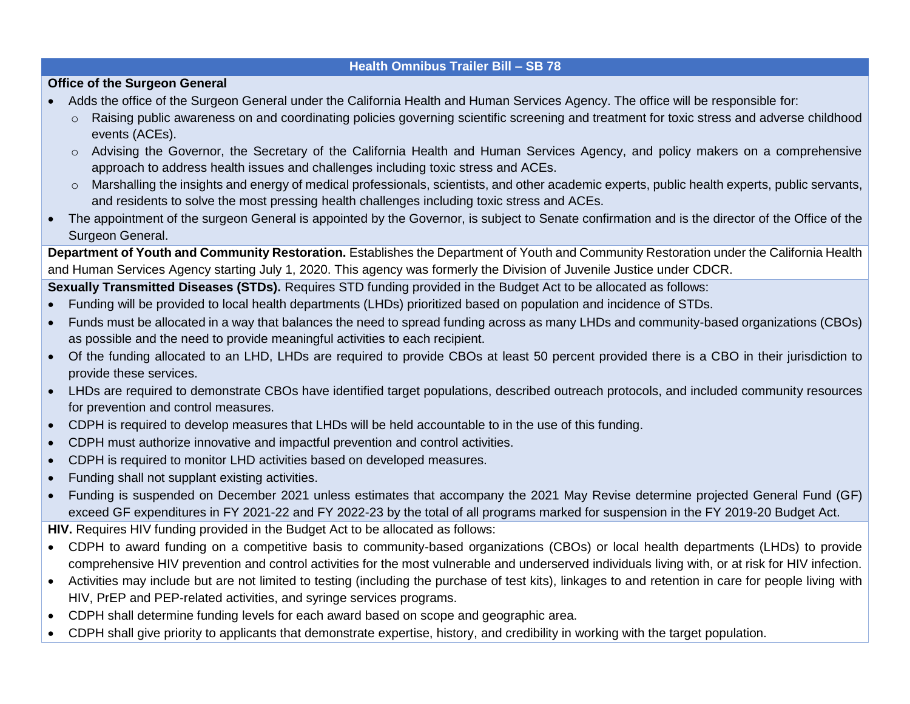#### **Health Omnibus Trailer Bill – SB 78**

### **Office of the Surgeon General**

- Adds the office of the Surgeon General under the California Health and Human Services Agency. The office will be responsible for:
	- o Raising public awareness on and coordinating policies governing scientific screening and treatment for toxic stress and adverse childhood events (ACEs).
	- o Advising the Governor, the Secretary of the California Health and Human Services Agency, and policy makers on a comprehensive approach to address health issues and challenges including toxic stress and ACEs.
	- o Marshalling the insights and energy of medical professionals, scientists, and other academic experts, public health experts, public servants, and residents to solve the most pressing health challenges including toxic stress and ACEs.
- The appointment of the surgeon General is appointed by the Governor, is subject to Senate confirmation and is the director of the Office of the Surgeon General.

**Department of Youth and Community Restoration.** Establishes the Department of Youth and Community Restoration under the California Health and Human Services Agency starting July 1, 2020. This agency was formerly the Division of Juvenile Justice under CDCR.

**Sexually Transmitted Diseases (STDs).** Requires STD funding provided in the Budget Act to be allocated as follows:

- Funding will be provided to local health departments (LHDs) prioritized based on population and incidence of STDs.
- Funds must be allocated in a way that balances the need to spread funding across as many LHDs and community-based organizations (CBOs) as possible and the need to provide meaningful activities to each recipient.
- Of the funding allocated to an LHD, LHDs are required to provide CBOs at least 50 percent provided there is a CBO in their jurisdiction to provide these services.
- LHDs are required to demonstrate CBOs have identified target populations, described outreach protocols, and included community resources for prevention and control measures.
- CDPH is required to develop measures that LHDs will be held accountable to in the use of this funding.
- CDPH must authorize innovative and impactful prevention and control activities.
- CDPH is required to monitor LHD activities based on developed measures.
- Funding shall not supplant existing activities.
- Funding is suspended on December 2021 unless estimates that accompany the 2021 May Revise determine projected General Fund (GF) exceed GF expenditures in FY 2021-22 and FY 2022-23 by the total of all programs marked for suspension in the FY 2019-20 Budget Act.

**HIV.** Requires HIV funding provided in the Budget Act to be allocated as follows:

- CDPH to award funding on a competitive basis to community-based organizations (CBOs) or local health departments (LHDs) to provide comprehensive HIV prevention and control activities for the most vulnerable and underserved individuals living with, or at risk for HIV infection.
- Activities may include but are not limited to testing (including the purchase of test kits), linkages to and retention in care for people living with HIV, PrEP and PEP-related activities, and syringe services programs.
- CDPH shall determine funding levels for each award based on scope and geographic area.
- CDPH shall give priority to applicants that demonstrate expertise, history, and credibility in working with the target population.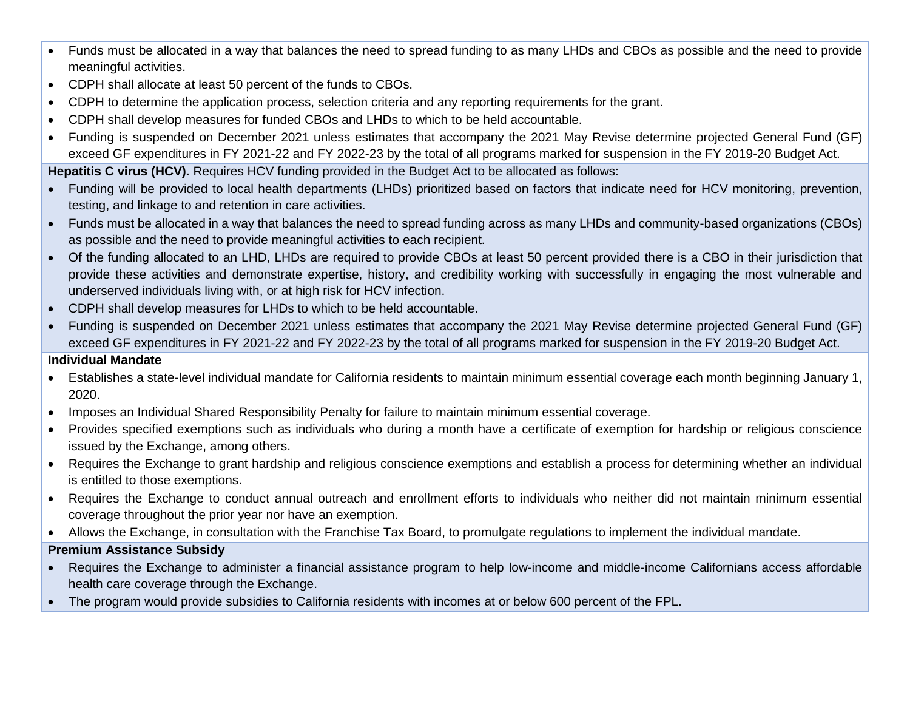- Funds must be allocated in a way that balances the need to spread funding to as many LHDs and CBOs as possible and the need to provide meaningful activities.
- CDPH shall allocate at least 50 percent of the funds to CBOs.
- CDPH to determine the application process, selection criteria and any reporting requirements for the grant.
- CDPH shall develop measures for funded CBOs and LHDs to which to be held accountable.
- Funding is suspended on December 2021 unless estimates that accompany the 2021 May Revise determine projected General Fund (GF) exceed GF expenditures in FY 2021-22 and FY 2022-23 by the total of all programs marked for suspension in the FY 2019-20 Budget Act.

**Hepatitis C virus (HCV).** Requires HCV funding provided in the Budget Act to be allocated as follows:

- Funding will be provided to local health departments (LHDs) prioritized based on factors that indicate need for HCV monitoring, prevention, testing, and linkage to and retention in care activities.
- Funds must be allocated in a way that balances the need to spread funding across as many LHDs and community-based organizations (CBOs) as possible and the need to provide meaningful activities to each recipient.
- Of the funding allocated to an LHD, LHDs are required to provide CBOs at least 50 percent provided there is a CBO in their jurisdiction that provide these activities and demonstrate expertise, history, and credibility working with successfully in engaging the most vulnerable and underserved individuals living with, or at high risk for HCV infection.
- CDPH shall develop measures for LHDs to which to be held accountable.
- Funding is suspended on December 2021 unless estimates that accompany the 2021 May Revise determine projected General Fund (GF) exceed GF expenditures in FY 2021-22 and FY 2022-23 by the total of all programs marked for suspension in the FY 2019-20 Budget Act.

### **Individual Mandate**

- Establishes a state-level individual mandate for California residents to maintain minimum essential coverage each month beginning January 1, 2020.
- Imposes an Individual Shared Responsibility Penalty for failure to maintain minimum essential coverage.
- Provides specified exemptions such as individuals who during a month have a certificate of exemption for hardship or religious conscience issued by the Exchange, among others.
- Requires the Exchange to grant hardship and religious conscience exemptions and establish a process for determining whether an individual is entitled to those exemptions.
- Requires the Exchange to conduct annual outreach and enrollment efforts to individuals who neither did not maintain minimum essential coverage throughout the prior year nor have an exemption.
- Allows the Exchange, in consultation with the Franchise Tax Board, to promulgate regulations to implement the individual mandate.

# **Premium Assistance Subsidy**

- Requires the Exchange to administer a financial assistance program to help low-income and middle-income Californians access affordable health care coverage through the Exchange.
- The program would provide subsidies to California residents with incomes at or below 600 percent of the FPL.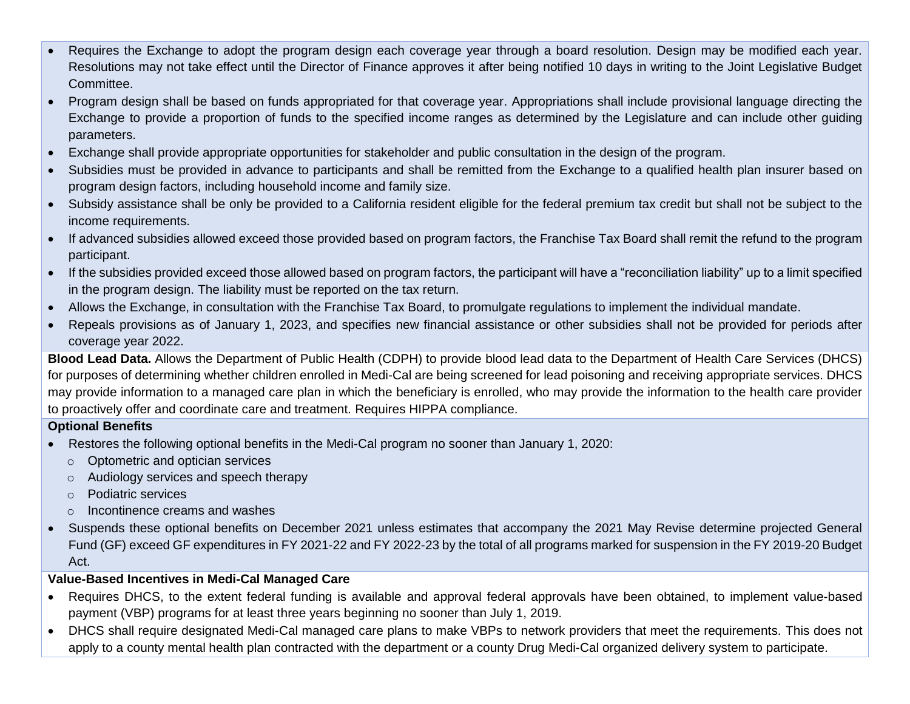- Requires the Exchange to adopt the program design each coverage year through a board resolution. Design may be modified each year. Resolutions may not take effect until the Director of Finance approves it after being notified 10 days in writing to the Joint Legislative Budget Committee.
- Program design shall be based on funds appropriated for that coverage year. Appropriations shall include provisional language directing the Exchange to provide a proportion of funds to the specified income ranges as determined by the Legislature and can include other guiding parameters.
- Exchange shall provide appropriate opportunities for stakeholder and public consultation in the design of the program.
- Subsidies must be provided in advance to participants and shall be remitted from the Exchange to a qualified health plan insurer based on program design factors, including household income and family size.
- Subsidy assistance shall be only be provided to a California resident eligible for the federal premium tax credit but shall not be subject to the income requirements.
- If advanced subsidies allowed exceed those provided based on program factors, the Franchise Tax Board shall remit the refund to the program participant.
- If the subsidies provided exceed those allowed based on program factors, the participant will have a "reconciliation liability" up to a limit specified in the program design. The liability must be reported on the tax return.
- Allows the Exchange, in consultation with the Franchise Tax Board, to promulgate regulations to implement the individual mandate.
- Repeals provisions as of January 1, 2023, and specifies new financial assistance or other subsidies shall not be provided for periods after coverage year 2022.

**Blood Lead Data.** Allows the Department of Public Health (CDPH) to provide blood lead data to the Department of Health Care Services (DHCS) for purposes of determining whether children enrolled in Medi-Cal are being screened for lead poisoning and receiving appropriate services. DHCS may provide information to a managed care plan in which the beneficiary is enrolled, who may provide the information to the health care provider to proactively offer and coordinate care and treatment. Requires HIPPA compliance.

### **Optional Benefits**

- Restores the following optional benefits in the Medi-Cal program no sooner than January 1, 2020:
	- o Optometric and optician services
	- o Audiology services and speech therapy
	- o Podiatric services
	- o Incontinence creams and washes
- Suspends these optional benefits on December 2021 unless estimates that accompany the 2021 May Revise determine projected General Fund (GF) exceed GF expenditures in FY 2021-22 and FY 2022-23 by the total of all programs marked for suspension in the FY 2019-20 Budget Act.

## **Value-Based Incentives in Medi-Cal Managed Care**

- Requires DHCS, to the extent federal funding is available and approval federal approvals have been obtained, to implement value-based payment (VBP) programs for at least three years beginning no sooner than July 1, 2019.
- DHCS shall require designated Medi-Cal managed care plans to make VBPs to network providers that meet the requirements. This does not apply to a county mental health plan contracted with the department or a county Drug Medi-Cal organized delivery system to participate.